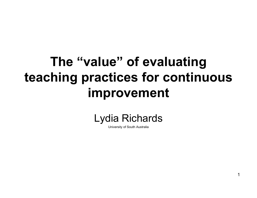## The "value" of evaluating teaching practices for continuous improvement



University of South Australia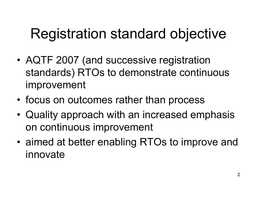# Registration standard objective

- •AQTF 2007 (and successive registration standards) RTOs to demonstrate continuous improvement
- •focus on outcomes rather than process
- •Quality approach with an increased emphasis on continuous improvement
- •aimed at better enabling RTOs to improve and<br>innoxed innovate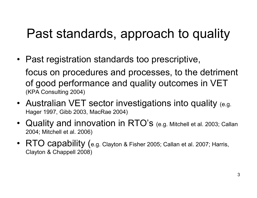#### Past standards, approach to quality

• Past registration standards too prescriptive,

focus on procedures and processes, to the detrimentof good performance and quality outcomes in VET (KPA Consulting 2004)

- Australian VET sector investigations into quality (e.g. Hager 1997, Gibb 2003, MacRae 2004)
- Quality and innovation in RTO's (e.g. Mitchell et al. 2003; Callan<br>2004: Mitchell et al. 2006) 2004; Mitchell et al. 2006)
- $RTO$  capability (e.g. Clayton & Fisher 2005; Callan et al. 2007; Harris, Clayton & Channell 2008) Clayton & Chappell 2008)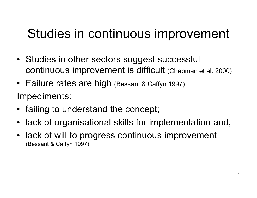#### Studies in continuous improvement

- Studies in other sectors suggest successful<br>exating successive survey and in difficult (a) continuous improvement is difficult (Chapman et al. 2000)
- Failure rates are high (Bessant & Caffyn 1997)<br>. Impediments:
- failing to understand the concept;
- lack of organisational skills for implementation and,
- lack of will to progress continuous improvement<br>(Bessant & Caffyn 1997) (Bessant & Caffyn 1997)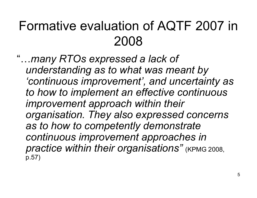#### Formative evaluation of AQTF 2007 in 2008

"…many RTOs expressed a lack of understanding as to what was meant by 'continuous improvement', and uncertainty as to how to implement an effective continuous improvement approach within their organisation. They also expressed concerns as to how to competently demonstrate continuous improvement approaches in practice within their organisations" (KPMG 2008, p.57)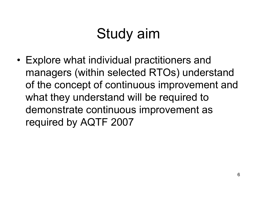# Study aim

• Explore what individual practitioners and<br>managements (within a slasted DTOs) unders managers (within selected RTOs) understand of the concept of continuous improvement and what they understand will be required to demonstrate continuous improvement as required by AQTF 2007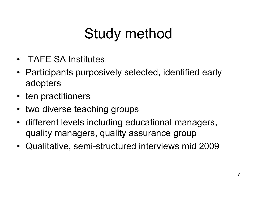# Study method

- TAFE SA Institutes
- Participants purposively selected, identified early adopters
- ten practitioners
- two diverse teaching groups
- different levels including educational managers, quality managers, quality assurance group
- Qualitative, semi-structured interviews mid 2009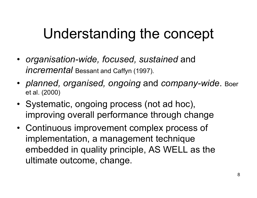## Understanding the concept

- organisation-wide, focused, sustained and *incremental* Bessant and Caffyn (1997).
- planned, organised, ongoing and company-wide. Boer et al. (2000)
- Systematic, ongoing process (not ad hoc), improving overall performance through change
- Continuous improvement complex process of implementation, a management technique embedded in quality principle, AS WELL as the ultimate outcome, change.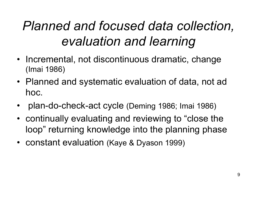#### Planned and focused data collection, evaluation and learning

- Incremental, not discontinuous dramatic, change<br>(Imei 1086) (Imai 1986)
- Planned and systematic evaluation of data, not ad hoc.
- •plan-do-check-act cycle (Deming 1986; Imai 1986)
- continually evaluating and reviewing to "close the loop" returning knowledge into the planning phase
- constant evaluation (Kaye & Dyason 1999)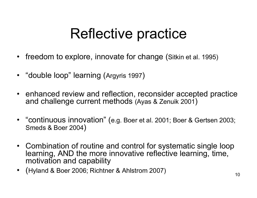## Reflective practice

- freedom to explore, innovate for change (Sitkin et al. 1995)
- "double loop" learning (Argyris 1997 )
- enhanced review and reflection, reconsider accepted practice<br>and challenge current methods (Avas & Zenuik 2001) and challenge current methods (Ayas & Zenuik 2001)
- "continuous innovation" (e.g. Boer et al. 2001; Boer & Gertsen 2003;<br>Smeds & Boer 2004) Smeds & Boer 2004)
- Combination of routine and control for systematic single loop<br>Iearning, AND the more innovative reflective learning, time learning, AND the more innovative reflective learning, time, motivation and capability
- (Hyland & Boer 2006; Richtner & Ahlstrom 2007)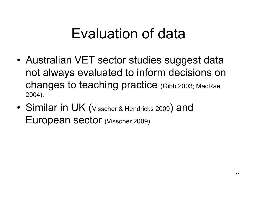## Evaluation of data

- Australian VET sector studies suggest data not always evaluated to inform decisions on changes to teaching practice (Gibb 2003; MacRae 2004).
- •Similar in UK (Visscher & Hendricks 2009) and European sector (Visscher 2009)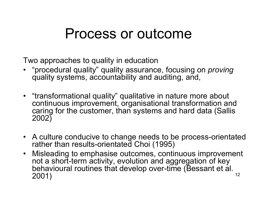#### Process or outcome

Two approaches to quality in education

- "procedural quality" quality assurance, focusing on *proving*<br>cuality systems, accountability and auditing, and quality systems, accountability and auditing, and,
- "transformational quality" qualitative in nature more about continuous improvement, organisational transformation and caring for the customer, than systems and hard data (Sallis 2002)
- A culture conducive to change needs to be process-orientated<br>rather than results-orientated Choi (1995) rather than results-orientated Choi (1995)
- 12• Misleading to emphasise outcomes, continuous improvement<br>not a short-term activity, evolution and aggregation of key not a short-term activity, evolution and aggregation of key behavioural routines that develop over-time (Bessant et al. 2001)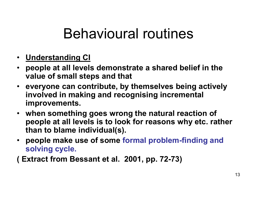- <u>• Understanding Cl</u>
- people at all levels demonstrate a shared belief in the value of small steps and that
- everyone can contribute, by themselves being actively involved in making and recognising incremental improvements.
- when something goes wrong the natural reaction of people at all levels is to look for reasons why etc. rather than to blame individual(s).
- people make use of some formal problem-finding and solving cycle.

( Extract from Bessant et al. 2001, pp. 72-73)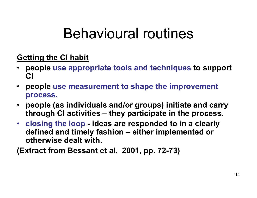#### Getting the CI habit

- •• people use appropriate tools and techniques to support CI
- people use measurement to shape the improvement process.
- people (as individuals and/or groups) initiate and carry through CI activities – they participate in the process.
- $\bullet$ • closing the loop - ideas are responded to in a clearly<br>defined and timely fashion sither implemented or defined and timely fashion – either implemented or otherwise dealt with.

(Extract from Bessant et al. 2001, pp. 72-73)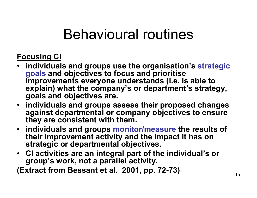#### Focusing CI

- individuals and groups use the organisation's strategic goals and objectives to focus and prioritise<br>imnrevements evenienc understands (i.e. is improvements everyone understands (i.e. is able to explain) what the company's or department's strategy, goals and objectives are.
- individuals and groups assess their proposed changes against departmental or company objectives to ensure they are consistent with them.
- individuals and groups monitor/measure the results of their improvement activity and the impact it has onstrategic or departmental objectives.
- CI activities are an integral part of the individual's or group's work, not a parallel activity.

(Extract from Bessant et al. 2001, pp. 72-73)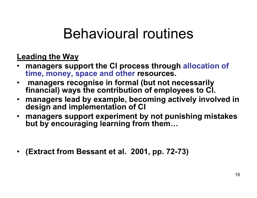#### Leading the Way

- managers support the CI process through allocation of •time, money, space and other resources.
- • managers recognise in formal (but not necessarily financial) ways the contribution of employees to CI.
- managers lead by example, becoming actively involved in design and implementation of CI
- managers support experiment by not punishing mistakes but by encouraging learning from them…
- (Extract from Bessant et al. 2001, pp. 72-73)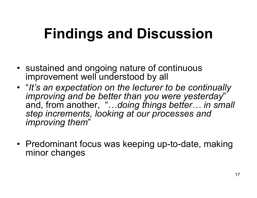# Findings and Discussion

- sustained and ongoing nature of continuous<br>improvement well understood by all improvement well understood by all
- "It's an expectation on the lecturer to be continually<br>improving and he hetter than you were vesterday" improving and be better than you were yesterday" and, from another, "…doing things better… in small step increments, looking at our processes and improving them"
- Predominant focus was keeping up-to-date, making minor changes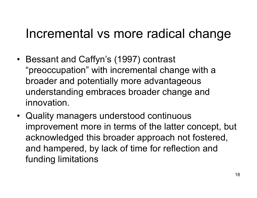#### Incremental vs more radical change

- Bessant and Caffyn's (1997) contrast "preoccupation" with incremental change with a broader and potentially more advantageous understanding embraces broader change and innovation.
- Quality managers understood continuous<br>
improvement means in terms of the letter as improvement more in terms of the latter concept, but acknowledged this broader approach not fostered, and hampered, by lack of time for reflection and funding limitations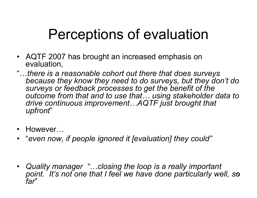# Perceptions of evaluation

- AQTF 2007 has brought an increased emphasis on<br>evaluation evaluation,
- "…there is a reasonable cohort out there that does surveys because they know they need to do surveys, but they don't do surveys or feedback processes to get the benefit of the outcome from that and to use that… using stakeholder data to drive continuous improvement…AQTF just brought that upfront"
- •However…
- "even now, if people ignored it [evaluation] they could"
- 19point. It's not one that I feel we have done particularly well, so • Quality manager "…closing the loop is a really important far"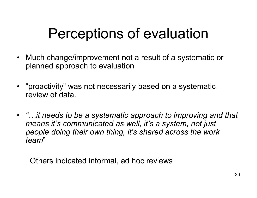## Perceptions of evaluation

- Much change/improvement not a result of a systematic or<br>planned approach to ovaluation planned approach to evaluation
- "proactivity" was not necessarily based on a systematic<br>review of data review of data.
- "…it needs to be a systematic approach to improving and that means it's communicated as well, it's a system, not just people doing their own thing, it's shared across the work team"

Others indicated informal, ad hoc reviews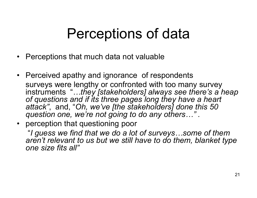## Perceptions of data

- Perceptions that much data not valuable
- Perceived apathy and ignorance of respondents surveys were lengthy or confronted with too many survey instruments "…they [stakeholders] always see there's a heap of questions and if its three pages long they have a heart attack", and, "Oh, we've [the stakeholders] done this 50 question one, we're not going to do any others…" .
- perception that questioning poor<br>"*Lausee we find that we deed lat*

"I guess we find that we do a lot of surveys…some of them aren't relevant to us but we still have to do them, blanket type one size fits all"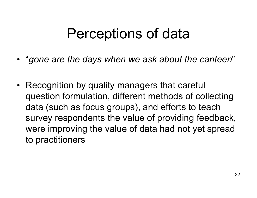## Perceptions of data

- "gone are the days when we ask about the canteen "
- Recognition by quality managers that careful<br>expression formsulation different matheria of soll question formulation, different methods of collecting data (such as focus groups), and efforts to teach survey respondents the value of providing feedback,were improving the value of data had not yet spreadto practitioners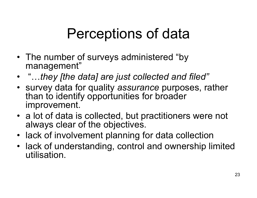# Perceptions of data

- The number of surveys administered "by<br>management" management"
- "…they [the data] are just collected and filed"
- survey data for quality *assurance* purposes, rather<br>than to identify opportunities for broader than to identify opportunities for broader improvement.
- a lot of data is collected, but practitioners were not<br>always clear of the objectives always clear of the objectives.
- lack of involvement planning for data collection
- lack of understanding, control and ownership limited<br>utilisation utilisation.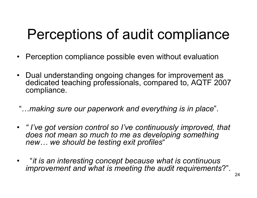# Perceptions of audit compliance

- Perception compliance possible even without evaluation
- Dual understanding ongoing changes for improvement as<br>dedicated teaching professionals, compared to AOTF 200 dedicated teaching professionals, compared to, AQTF 2007 compliance.
- "…making sure our paperwork and everything is in place".
- " I've got version control so I've continuously improved, that does not mean so much to me as developing something new… we should be testing exit profiles"
- • "it is an interesting concept because what is continuous improvement and what is meeting the audit requirements?".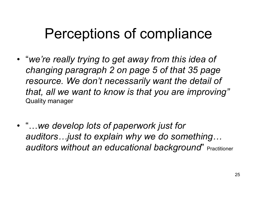## Perceptions of compliance

- "we're really trying to get away from this idea of changing paragraph 2 on page 5 of that 35 page resource. We don't necessarily want the detail of that, all we want to know is that you are improving" Quality manager
- "…we develop lots of paperwork just for auditors…just to explain why we do something… auditors without an educational background" Practitioner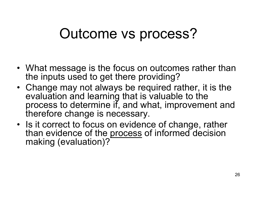## Outcome vs process?

- What message is the focus on outcomes rather than<br>the inputs used to get there providing? the inputs used to get there providing?
- Change may not always be required rather, it is the  $\sim$  evaluation and learning that is valuable to the evaluation and learning that is valuable to the process to determine if, and what, improvement and therefore change is necessary.
- Is it correct to focus on evidence of change, rather<br>• than evidence of the process of informed decision than evidence of the process of informed decision making (evaluation)?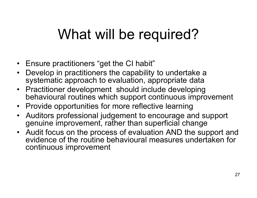# What will be required?

- Ensure practitioners "get the CI habit"
- Develop in practitioners the capability to undertake a<br>systematic approach to evaluation, appropriate data systematic approach to evaluation, appropriate data
- Practitioner development should include developing<br>hebavioural routines which support continuous impro behavioural routines which support continuous improvement
- Provide opportunities for more reflective learning<br>
Auditors arefeccional independent to encourage an
- Auditors professional judgement to encourage and support genuine improvement, rather than superficial change
- Audit focus on the process of evaluation AND the support and<br>• evidence of the routine behavioural measures undertaken for evidence of the routine behavioural measures undertaken for continuous improvement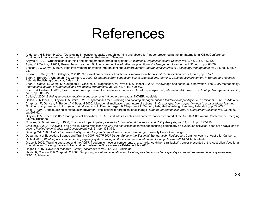#### References

- • Andersen, H & Boer, H 2007, 'Developing innovation capacity through learning and absorption', paper presented at the 8th International CINet Conference-Continuous innovation- opportunities and challenges, Gothenburg, Sweden.
- •Argyris, C 1997, 'Organisational learning and management information systems', Accounting, Organizations and Society vol. 2, no. 2, pp. 113-123.
- •Ayas, K & Zeniuk, N 2001, 'Project based learning: Building communities of reflective practitioners', Management Learning, vol. 32, no. 1, pp. 61-76.
- •Bessant, J & Caffyn, S 1997, 'High involvement innovation through continuous improvement', International Journal of Technology Management, vol. 14, no. 1, pp. 7-28.
- Bessant, J, Caffyn, S & Gallagher, M 2001, 'An evolutionary model of continuous improvement behaviour', Technovation, vol. 21, no. 2, pp. 67-77.<br>Bess JJ, Berger, A, Chaeman, E. 8, Cartean, C. 2000, Cl abanges from europeti •
- •Boer, H, Berger, A, Chapman, F & Gertsen, G 2000, CI changes: from suggestion box to organisational learning. Continuous improvement in Europe and Australia, Ashgate Publishing Company, Aldershot.
- Boer, H, Caffyn, S, Corso, M, Coughlan, P, Gieskes, G, Magnusson, M, Pavesi, S & Ronchi, S 2001, 'Knowledge and continuous innovation- The CIMA methodology', International Journal of Operations and Production Managment vol •International Journal of Operations and Production Managment, vol. 21, no. 4, pp. 490-503.
- Boer, H & Gertsen, F 2003, 'From continuous improvement to continuous innovation: A (retro)(per)spective', International Journal of Technology Management, vol. 26,<br>no. 8, np. 805-827 •no. 8, pp. 805-827.
- Callan, V 2004, Building innovative vocational education and training organisations, NCVER, Adelaide. •
- •Callan, V, Mitchell, J, Clayton, B & Smith, L 2007, Approaches for sustaining and building management and leadership capability in VET providers, NCVER, Adelaide.
- • Chapman, R, Gertsen, F, Berger, A & Boer, H 2000, 'Managerial implications and future directions ', in CI changes: from suggestion box to organisational learning. Continuous improvement in Europe and Australia, eds. H Boer, A Berger, R Chapman & F Gertsen, Ashgate Publishing Company, Aldershot., pp. 229-243.
- Choi, T 1995, 'Concetualizing continuous improvement: Implications for organisational change', Omega International Journal of Mangement Science, vol. 23, no. 6,<br>np 607-624 •pp. 607-624.
- Clayton, B & Fisher, T 2005, 'Sharing critical 'know-how' in TAFE institutes: Benefits and barriers', paper presented at the AVETRA 8th Annual Conference- Emerging futures Rrishane •futures, Brisbane.
- Cousins, BJ & Leithwood, K 1986, 'The case for participatory evaluation', Educational Evaluation and Policy Analysis, vol. 14, no. 4, pp. 397-418.<br>Constructing and all country is all Casis in Care and stimulation and the c •
- • Cracknell, B 2001, 'Knowing is all: Or is it? Some reflections on why the acquisition of knowledge focusing particularly on evaluation activities, does not always lead to action', Public Administration and Development, vol. 21, pp. 371-379.
- Deming, WE 1986, Out of the crisis-Quality, productivity and competitive position, Cambridge University Press, Cambridge. •
- •Department of Education, Science and Training 2007, AQTF 2007 Users' Guide to the Essential Standards for Registration, Commonwealth of Australia, Canberra.
- •Gibb, J 2003, What impact is implementing a quality system having on the vocational education and training classroom?, NCVER, Adelaide.
- •Grace, L 2005, 'Training packages and the AQTF: freedom to move or components of a compliance-driven straitiacket?', paper presented at the Australian Vocational Education and Training Research Association Conference 8th Conference Brisbane, May 2005.
- •Hager, P 1997, Review of research - Quality assurance in VET, NCVER, Adelaide.
- •Harris, R, Clayton, B & Chappell, C 2008, Supporting vocational education and training providers in building capability for the future: research activity overviews, NCVER, Adelaide.